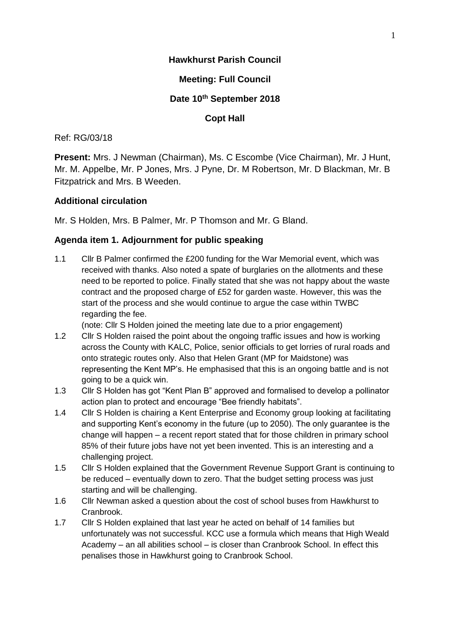## **Hawkhurst Parish Council**

## **Meeting: Full Council**

## **Date 10th September 2018**

## **Copt Hall**

### Ref: RG/03/18

**Present:** Mrs. J Newman (Chairman), Ms. C Escombe (Vice Chairman), Mr. J Hunt, Mr. M. Appelbe, Mr. P Jones, Mrs. J Pyne, Dr. M Robertson, Mr. D Blackman, Mr. B Fitzpatrick and Mrs. B Weeden.

## **Additional circulation**

Mr. S Holden, Mrs. B Palmer, Mr. P Thomson and Mr. G Bland.

## **Agenda item 1. Adjournment for public speaking**

1.1 Cllr B Palmer confirmed the £200 funding for the War Memorial event, which was received with thanks. Also noted a spate of burglaries on the allotments and these need to be reported to police. Finally stated that she was not happy about the waste contract and the proposed charge of £52 for garden waste. However, this was the start of the process and she would continue to argue the case within TWBC regarding the fee.

(note: Cllr S Holden joined the meeting late due to a prior engagement)

- 1.2 Cllr S Holden raised the point about the ongoing traffic issues and how is working across the County with KALC, Police, senior officials to get lorries of rural roads and onto strategic routes only. Also that Helen Grant (MP for Maidstone) was representing the Kent MP's. He emphasised that this is an ongoing battle and is not going to be a quick win.
- 1.3 Cllr S Holden has got "Kent Plan B" approved and formalised to develop a pollinator action plan to protect and encourage "Bee friendly habitats".
- 1.4 Cllr S Holden is chairing a Kent Enterprise and Economy group looking at facilitating and supporting Kent's economy in the future (up to 2050). The only guarantee is the change will happen – a recent report stated that for those children in primary school 85% of their future jobs have not yet been invented. This is an interesting and a challenging project.
- 1.5 Cllr S Holden explained that the Government Revenue Support Grant is continuing to be reduced – eventually down to zero. That the budget setting process was just starting and will be challenging.
- 1.6 Cllr Newman asked a question about the cost of school buses from Hawkhurst to Cranbrook.
- 1.7 Cllr S Holden explained that last year he acted on behalf of 14 families but unfortunately was not successful. KCC use a formula which means that High Weald Academy – an all abilities school – is closer than Cranbrook School. In effect this penalises those in Hawkhurst going to Cranbrook School.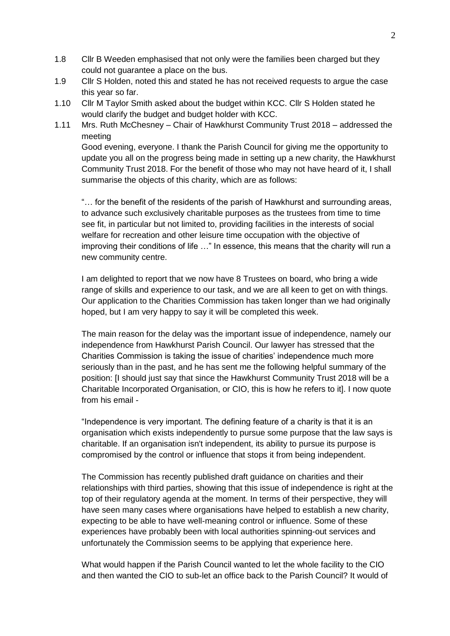- 1.8 Cllr B Weeden emphasised that not only were the families been charged but they could not guarantee a place on the bus.
- 1.9 Cllr S Holden, noted this and stated he has not received requests to argue the case this year so far.
- 1.10 Cllr M Taylor Smith asked about the budget within KCC. Cllr S Holden stated he would clarify the budget and budget holder with KCC.
- 1.11 Mrs. Ruth McChesney Chair of Hawkhurst Community Trust 2018 addressed the meeting

Good evening, everyone. I thank the Parish Council for giving me the opportunity to update you all on the progress being made in setting up a new charity, the Hawkhurst Community Trust 2018. For the benefit of those who may not have heard of it, I shall summarise the objects of this charity, which are as follows:

"… for the benefit of the residents of the parish of Hawkhurst and surrounding areas, to advance such exclusively charitable purposes as the trustees from time to time see fit, in particular but not limited to, providing facilities in the interests of social welfare for recreation and other leisure time occupation with the objective of improving their conditions of life ..." In essence, this means that the charity will run a new community centre.

I am delighted to report that we now have 8 Trustees on board, who bring a wide range of skills and experience to our task, and we are all keen to get on with things. Our application to the Charities Commission has taken longer than we had originally hoped, but I am very happy to say it will be completed this week.

The main reason for the delay was the important issue of independence, namely our independence from Hawkhurst Parish Council. Our lawyer has stressed that the Charities Commission is taking the issue of charities' independence much more seriously than in the past, and he has sent me the following helpful summary of the position: [I should just say that since the Hawkhurst Community Trust 2018 will be a Charitable Incorporated Organisation, or CIO, this is how he refers to it]. I now quote from his email -

"Independence is very important. The defining feature of a charity is that it is an organisation which exists independently to pursue some purpose that the law says is charitable. If an organisation isn't independent, its ability to pursue its purpose is compromised by the control or influence that stops it from being independent.

The Commission has recently published draft guidance on charities and their relationships with third parties, showing that this issue of independence is right at the top of their regulatory agenda at the moment. In terms of their perspective, they will have seen many cases where organisations have helped to establish a new charity, expecting to be able to have well-meaning control or influence. Some of these experiences have probably been with local authorities spinning-out services and unfortunately the Commission seems to be applying that experience here.

What would happen if the Parish Council wanted to let the whole facility to the CIO and then wanted the CIO to sub-let an office back to the Parish Council? It would of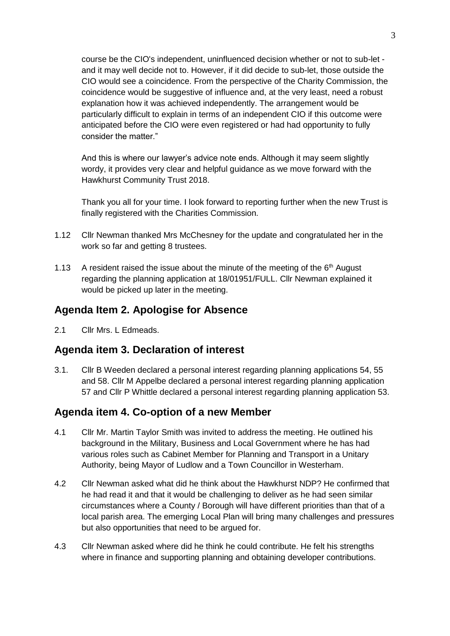course be the CIO's independent, uninfluenced decision whether or not to sub-let and it may well decide not to. However, if it did decide to sub-let, those outside the CIO would see a coincidence. From the perspective of the Charity Commission, the coincidence would be suggestive of influence and, at the very least, need a robust explanation how it was achieved independently. The arrangement would be particularly difficult to explain in terms of an independent CIO if this outcome were anticipated before the CIO were even registered or had had opportunity to fully consider the matter."

And this is where our lawyer's advice note ends. Although it may seem slightly wordy, it provides very clear and helpful guidance as we move forward with the Hawkhurst Community Trust 2018.

Thank you all for your time. I look forward to reporting further when the new Trust is finally registered with the Charities Commission.

- 1.12 Cllr Newman thanked Mrs McChesney for the update and congratulated her in the work so far and getting 8 trustees.
- 1.13 A resident raised the issue about the minute of the meeting of the  $6<sup>th</sup>$  August regarding the planning application at 18/01951/FULL. Cllr Newman explained it would be picked up later in the meeting.

## **Agenda Item 2. Apologise for Absence**

2.1 Cllr Mrs. L Edmeads.

## **Agenda item 3. Declaration of interest**

3.1. Cllr B Weeden declared a personal interest regarding planning applications 54, 55 and 58. Cllr M Appelbe declared a personal interest regarding planning application 57 and Cllr P Whittle declared a personal interest regarding planning application 53.

## **Agenda item 4. Co-option of a new Member**

- 4.1 Cllr Mr. Martin Taylor Smith was invited to address the meeting. He outlined his background in the Military, Business and Local Government where he has had various roles such as Cabinet Member for Planning and Transport in a Unitary Authority, being Mayor of Ludlow and a Town Councillor in Westerham.
- 4.2 Cllr Newman asked what did he think about the Hawkhurst NDP? He confirmed that he had read it and that it would be challenging to deliver as he had seen similar circumstances where a County / Borough will have different priorities than that of a local parish area. The emerging Local Plan will bring many challenges and pressures but also opportunities that need to be argued for.
- 4.3 Cllr Newman asked where did he think he could contribute. He felt his strengths where in finance and supporting planning and obtaining developer contributions.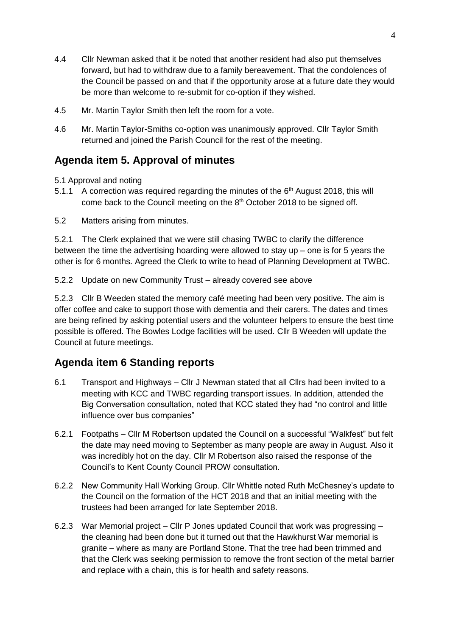- 4.4 Cllr Newman asked that it be noted that another resident had also put themselves forward, but had to withdraw due to a family bereavement. That the condolences of the Council be passed on and that if the opportunity arose at a future date they would be more than welcome to re-submit for co-option if they wished.
- 4.5 Mr. Martin Taylor Smith then left the room for a vote.
- 4.6 Mr. Martin Taylor-Smiths co-option was unanimously approved. Cllr Taylor Smith returned and joined the Parish Council for the rest of the meeting.

## **Agenda item 5. Approval of minutes**

- 5.1 Approval and noting
- 5.1.1 A correction was required regarding the minutes of the  $6<sup>th</sup>$  August 2018, this will come back to the Council meeting on the 8<sup>th</sup> October 2018 to be signed off.
- 5.2 Matters arising from minutes.

5.2.1 The Clerk explained that we were still chasing TWBC to clarify the difference between the time the advertising hoarding were allowed to stay up – one is for 5 years the other is for 6 months. Agreed the Clerk to write to head of Planning Development at TWBC.

5.2.2 Update on new Community Trust – already covered see above

5.2.3 Cllr B Weeden stated the memory café meeting had been very positive. The aim is offer coffee and cake to support those with dementia and their carers. The dates and times are being refined by asking potential users and the volunteer helpers to ensure the best time possible is offered. The Bowles Lodge facilities will be used. Cllr B Weeden will update the Council at future meetings.

# **Agenda item 6 Standing reports**

- 6.1 Transport and Highways Cllr J Newman stated that all Cllrs had been invited to a meeting with KCC and TWBC regarding transport issues. In addition, attended the Big Conversation consultation, noted that KCC stated they had "no control and little influence over bus companies"
- 6.2.1 Footpaths Cllr M Robertson updated the Council on a successful "Walkfest" but felt the date may need moving to September as many people are away in August. Also it was incredibly hot on the day. Cllr M Robertson also raised the response of the Council's to Kent County Council PROW consultation.
- 6.2.2 New Community Hall Working Group. Cllr Whittle noted Ruth McChesney's update to the Council on the formation of the HCT 2018 and that an initial meeting with the trustees had been arranged for late September 2018.
- 6.2.3 War Memorial project Cllr P Jones updated Council that work was progressing the cleaning had been done but it turned out that the Hawkhurst War memorial is granite – where as many are Portland Stone. That the tree had been trimmed and that the Clerk was seeking permission to remove the front section of the metal barrier and replace with a chain, this is for health and safety reasons.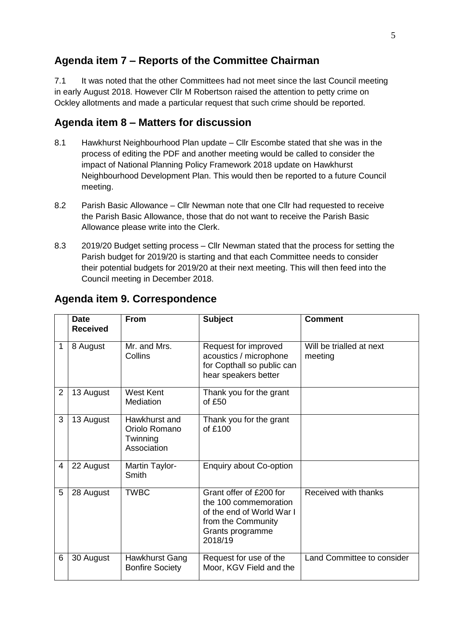# **Agenda item 7 – Reports of the Committee Chairman**

7.1 It was noted that the other Committees had not meet since the last Council meeting in early August 2018. However Cllr M Robertson raised the attention to petty crime on Ockley allotments and made a particular request that such crime should be reported.

# **Agenda item 8 – Matters for discussion**

- 8.1 Hawkhurst Neighbourhood Plan update Cllr Escombe stated that she was in the process of editing the PDF and another meeting would be called to consider the impact of National Planning Policy Framework 2018 update on Hawkhurst Neighbourhood Development Plan. This would then be reported to a future Council meeting.
- 8.2 Parish Basic Allowance Cllr Newman note that one Cllr had requested to receive the Parish Basic Allowance, those that do not want to receive the Parish Basic Allowance please write into the Clerk.
- 8.3 2019/20 Budget setting process Cllr Newman stated that the process for setting the Parish budget for 2019/20 is starting and that each Committee needs to consider their potential budgets for 2019/20 at their next meeting. This will then feed into the Council meeting in December 2018.

|                | <b>Date</b><br><b>Received</b> | <b>From</b>                                               | <b>Subject</b>                                                                                                                     | <b>Comment</b>                      |
|----------------|--------------------------------|-----------------------------------------------------------|------------------------------------------------------------------------------------------------------------------------------------|-------------------------------------|
| 1              | 8 August                       | Mr. and Mrs.<br>Collins                                   | Request for improved<br>acoustics / microphone<br>for Copthall so public can<br>hear speakers better                               | Will be trialled at next<br>meeting |
| $\overline{2}$ | 13 August                      | <b>West Kent</b><br>Mediation                             | Thank you for the grant<br>of £50                                                                                                  |                                     |
| 3              | 13 August                      | Hawkhurst and<br>Oriolo Romano<br>Twinning<br>Association | Thank you for the grant<br>of $£100$                                                                                               |                                     |
| 4              | 22 August                      | Martin Taylor-<br>Smith                                   | <b>Enquiry about Co-option</b>                                                                                                     |                                     |
| 5              | 28 August                      | <b>TWBC</b>                                               | Grant offer of £200 for<br>the 100 commemoration<br>of the end of World War I<br>from the Community<br>Grants programme<br>2018/19 | Received with thanks                |
| 6              | 30 August                      | <b>Hawkhurst Gang</b><br><b>Bonfire Society</b>           | Request for use of the<br>Moor, KGV Field and the                                                                                  | Land Committee to consider          |

# **Agenda item 9. Correspondence**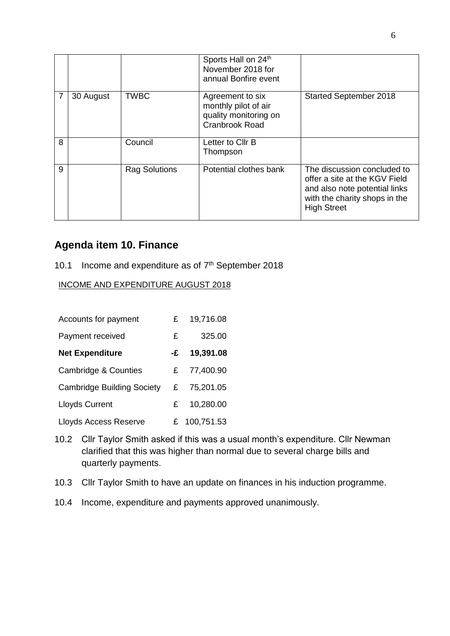|   |           |                      | Sports Hall on 24th<br>November 2018 for<br>annual Bonfire event                           |                                                                                                                                                      |
|---|-----------|----------------------|--------------------------------------------------------------------------------------------|------------------------------------------------------------------------------------------------------------------------------------------------------|
|   | 30 August | <b>TWBC</b>          | Agreement to six<br>monthly pilot of air<br>quality monitoring on<br><b>Cranbrook Road</b> | <b>Started September 2018</b>                                                                                                                        |
| 8 |           | Council              | Letter to Cllr B<br>Thompson                                                               |                                                                                                                                                      |
| 9 |           | <b>Rag Solutions</b> | Potential clothes bank                                                                     | The discussion concluded to<br>offer a site at the KGV Field<br>and also note potential links<br>with the charity shops in the<br><b>High Street</b> |

## **Agenda item 10. Finance**

## 10.1 Income and expenditure as of  $7<sup>th</sup>$  September 2018

## INCOME AND EXPENDITURE AUGUST 2018

| Accounts for payment              | £  | 19,716.08  |
|-----------------------------------|----|------------|
| Payment received                  | £  | 325.00     |
| <b>Net Expenditure</b>            | -£ | 19,391.08  |
| <b>Cambridge &amp; Counties</b>   | £  | 77,400.90  |
| <b>Cambridge Building Society</b> | £  | 75,201.05  |
| <b>Lloyds Current</b>             | £. | 10,280.00  |
| Lloyds Access Reserve             | £  | 100,751.53 |

- 10.2 Cllr Taylor Smith asked if this was a usual month's expenditure. Cllr Newman clarified that this was higher than normal due to several charge bills and quarterly payments.
- 10.3 Cllr Taylor Smith to have an update on finances in his induction programme.
- 10.4 Income, expenditure and payments approved unanimously.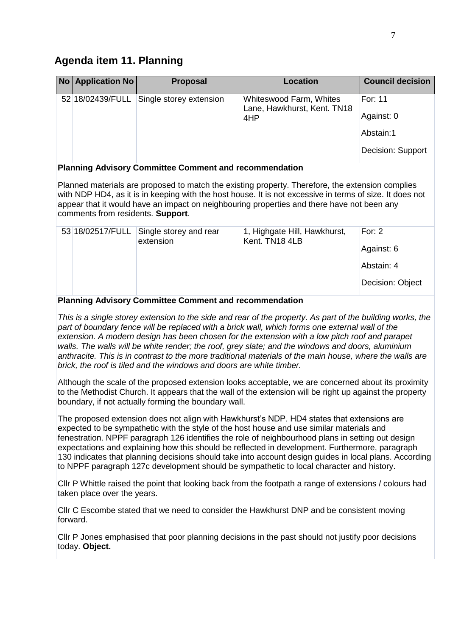## **Agenda item 11. Planning**

| <b>No Application No</b> | <b>Proposal</b>         | <b>Location</b>                                        | <b>Council decision</b> |
|--------------------------|-------------------------|--------------------------------------------------------|-------------------------|
| 52 18/02439/FULL         | Single storey extension | Whiteswood Farm, Whites<br>Lane, Hawkhurst, Kent. TN18 | For: 11                 |
|                          |                         | 4HP                                                    | Against: 0              |
|                          |                         |                                                        | Abstain:1               |
|                          |                         |                                                        | Decision: Support       |

#### **Planning Advisory Committee Comment and recommendation**

Planned materials are proposed to match the existing property. Therefore, the extension complies with NDP HD4, as it is in keeping with the host house. It is not excessive in terms of size. It does not appear that it would have an impact on neighbouring properties and there have not been any comments from residents. **Support**.

|  | 53 18/02517/FULL Single storey and rear<br>extension | 1, Highgate Hill, Hawkhurst,<br>Kent. TN18 4LB | For: $2$<br>Against: 6 |
|--|------------------------------------------------------|------------------------------------------------|------------------------|
|  |                                                      |                                                | Abstain: 4             |
|  |                                                      |                                                | Decision: Object       |

#### **Planning Advisory Committee Comment and recommendation**

*This is a single storey extension to the side and rear of the property. As part of the building works, the*  part of boundary fence will be replaced with a brick wall, which forms one external wall of the *extension. A modern design has been chosen for the extension with a low pitch roof and parapet walls. The walls will be white render; the roof, grey slate; and the windows and doors, aluminium anthracite. This is in contrast to the more traditional materials of the main house, where the walls are brick, the roof is tiled and the windows and doors are white timber.* 

Although the scale of the proposed extension looks acceptable, we are concerned about its proximity to the Methodist Church. It appears that the wall of the extension will be right up against the property boundary, if not actually forming the boundary wall.

The proposed extension does not align with Hawkhurst's NDP. HD4 states that extensions are expected to be sympathetic with the style of the host house and use similar materials and fenestration. NPPF paragraph 126 identifies the role of neighbourhood plans in setting out design expectations and explaining how this should be reflected in development. Furthermore, paragraph 130 indicates that planning decisions should take into account design guides in local plans. According to NPPF paragraph 127c development should be sympathetic to local character and history.

Cllr P Whittle raised the point that looking back from the footpath a range of extensions / colours had taken place over the years.

Cllr C Escombe stated that we need to consider the Hawkhurst DNP and be consistent moving forward.

Cllr P Jones emphasised that poor planning decisions in the past should not justify poor decisions today. **Object.**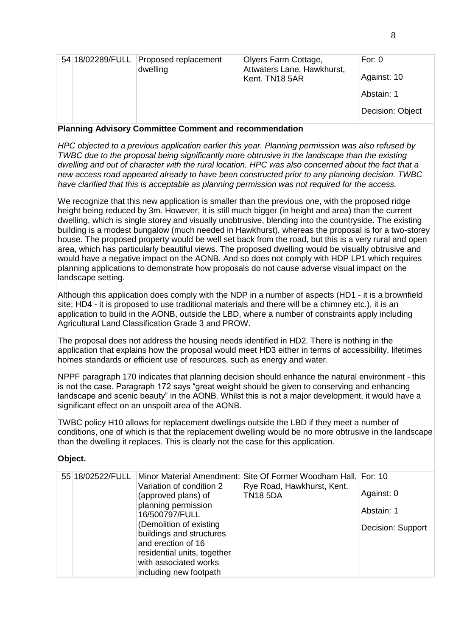|  | 54 18/02289/FULL Proposed replacement | Olyers Farm Cottage,                         | For: $0$         |
|--|---------------------------------------|----------------------------------------------|------------------|
|  | dwelling                              | Attwaters Lane, Hawkhurst,<br>Kent. TN18 5AR | Against: 10      |
|  |                                       |                                              | Abstain: 1       |
|  |                                       |                                              | Decision: Object |
|  |                                       |                                              |                  |

**Planning Advisory Committee Comment and recommendation**

*HPC objected to a previous application earlier this year. Planning permission was also refused by TWBC due to the proposal being significantly more obtrusive in the landscape than the existing dwelling and out of character with the rural location. HPC was also concerned about the fact that a new access road appeared already to have been constructed prior to any planning decision. TWBC have clarified that this is acceptable as planning permission was not required for the access.* 

We recognize that this new application is smaller than the previous one, with the proposed ridge height being reduced by 3m. However, it is still much bigger (in height and area) than the current dwelling, which is single storey and visually unobtrusive, blending into the countryside. The existing building is a modest bungalow (much needed in Hawkhurst), whereas the proposal is for a two-storey house. The proposed property would be well set back from the road, but this is a very rural and open area, which has particularly beautiful views. The proposed dwelling would be visually obtrusive and would have a negative impact on the AONB. And so does not comply with HDP LP1 which requires planning applications to demonstrate how proposals do not cause adverse visual impact on the landscape setting.

Although this application does comply with the NDP in a number of aspects (HD1 - it is a brownfield site; HD4 - it is proposed to use traditional materials and there will be a chimney etc.), it is an application to build in the AONB, outside the LBD, where a number of constraints apply including Agricultural Land Classification Grade 3 and PROW.

The proposal does not address the housing needs identified in HD2. There is nothing in the application that explains how the proposal would meet HD3 either in terms of accessibility, lifetimes homes standards or efficient use of resources, such as energy and water.

NPPF paragraph 170 indicates that planning decision should enhance the natural environment - this is not the case. Paragraph 172 says "great weight should be given to conserving and enhancing landscape and scenic beauty" in the AONB. Whilst this is not a major development, it would have a significant effect on an unspoilt area of the AONB.

TWBC policy H10 allows for replacement dwellings outside the LBD if they meet a number of conditions, one of which is that the replacement dwelling would be no more obtrusive in the landscape than the dwelling it replaces. This is clearly not the case for this application.

## **Object.**

| 55 18/02522/FULL | Variation of condition 2                            | Minor Material Amendment: Site Of Former Woodham Hall, For: 10<br>Rye Road, Hawkhurst, Kent. |                   |
|------------------|-----------------------------------------------------|----------------------------------------------------------------------------------------------|-------------------|
|                  | (approved plans) of                                 | <b>TN18 5DA</b>                                                                              | Against: 0        |
|                  | planning permission<br>16/500797/FULL               |                                                                                              | Abstain: 1        |
|                  | (Demolition of existing<br>buildings and structures |                                                                                              | Decision: Support |
|                  | and erection of 16                                  |                                                                                              |                   |
|                  | residential units, together                         |                                                                                              |                   |
|                  | with associated works<br>including new footpath     |                                                                                              |                   |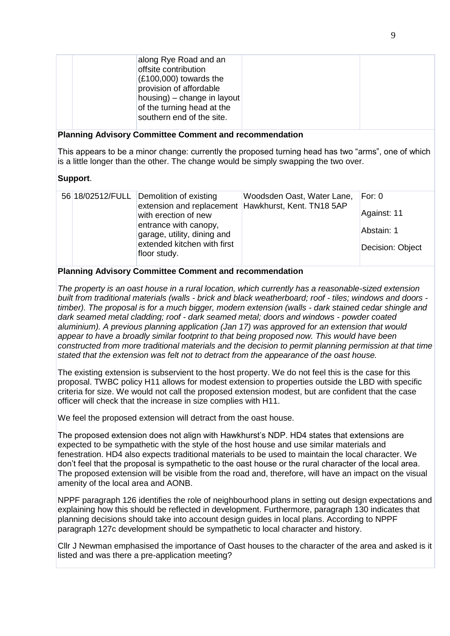| along Rye Road and an<br>offsite contribution<br>$(E100,000)$ towards the<br>provision of affordable<br>housing) – change in layout<br>of the turning head at the<br>southern end of the site. |  |
|------------------------------------------------------------------------------------------------------------------------------------------------------------------------------------------------|--|
|                                                                                                                                                                                                |  |

#### **Planning Advisory Committee Comment and recommendation**

This appears to be a minor change: currently the proposed turning head has two "arms", one of which is a little longer than the other. The change would be simply swapping the two over.

#### **Support**.

#### **Planning Advisory Committee Comment and recommendation**

*The property is an oast house in a rural location, which currently has a reasonable-sized extension built from traditional materials (walls - brick and black weatherboard; roof - tiles; windows and doors timber). The proposal is for a much bigger, modern extension (walls - dark stained cedar shingle and dark seamed metal cladding; roof - dark seamed metal; doors and windows - powder coated aluminium). A previous planning application (Jan 17) was approved for an extension that would appear to have a broadly similar footprint to that being proposed now. This would have been constructed from more traditional materials and the decision to permit planning permission at that time stated that the extension was felt not to detract from the appearance of the oast house.*

The existing extension is subservient to the host property. We do not feel this is the case for this proposal. TWBC policy H11 allows for modest extension to properties outside the LBD with specific criteria for size. We would not call the proposed extension modest, but are confident that the case officer will check that the increase in size complies with H11.

We feel the proposed extension will detract from the oast house.

The proposed extension does not align with Hawkhurst's NDP. HD4 states that extensions are expected to be sympathetic with the style of the host house and use similar materials and fenestration. HD4 also expects traditional materials to be used to maintain the local character. We don't feel that the proposal is sympathetic to the oast house or the rural character of the local area. The proposed extension will be visible from the road and, therefore, will have an impact on the visual amenity of the local area and AONB.

NPPF paragraph 126 identifies the role of neighbourhood plans in setting out design expectations and explaining how this should be reflected in development. Furthermore, paragraph 130 indicates that planning decisions should take into account design guides in local plans. According to NPPF paragraph 127c development should be sympathetic to local character and history.

Cllr J Newman emphasised the importance of Oast houses to the character of the area and asked is it listed and was there a pre-application meeting?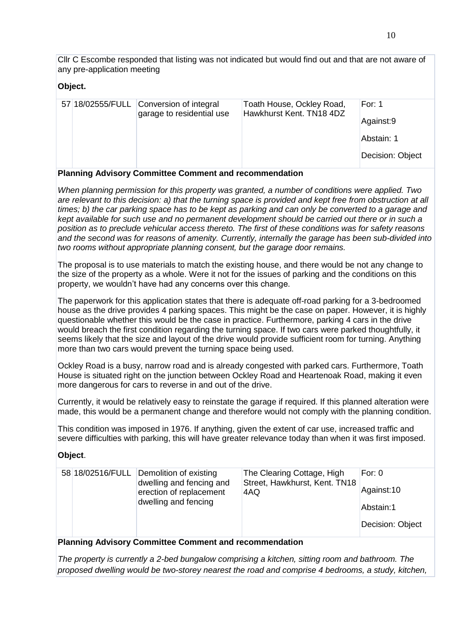Cllr C Escombe responded that listing was not indicated but would find out and that are not aware of any pre-application meeting

#### **Object.**

|  | 57 18/02555/FULL Conversion of integral<br>garage to residential use | Toath House, Ockley Road,<br>Hawkhurst Kent. TN18 4DZ | For: $1$         |
|--|----------------------------------------------------------------------|-------------------------------------------------------|------------------|
|  |                                                                      |                                                       | Against:9        |
|  |                                                                      |                                                       | Abstain: 1       |
|  |                                                                      |                                                       | Decision: Object |
|  |                                                                      |                                                       |                  |

#### **Planning Advisory Committee Comment and recommendation**

*When planning permission for this property was granted, a number of conditions were applied. Two are relevant to this decision: a) that the turning space is provided and kept free from obstruction at all times; b) the car parking space has to be kept as parking and can only be converted to a garage and kept available for such use and no permanent development should be carried out there or in such a position as to preclude vehicular access thereto. The first of these conditions was for safety reasons and the second was for reasons of amenity. Currently, internally the garage has been sub-divided into two rooms without appropriate planning consent, but the garage door remains.*

The proposal is to use materials to match the existing house, and there would be not any change to the size of the property as a whole. Were it not for the issues of parking and the conditions on this property, we wouldn't have had any concerns over this change.

The paperwork for this application states that there is adequate off-road parking for a 3-bedroomed house as the drive provides 4 parking spaces. This might be the case on paper. However, it is highly questionable whether this would be the case in practice. Furthermore, parking 4 cars in the drive would breach the first condition regarding the turning space. If two cars were parked thoughtfully, it seems likely that the size and layout of the drive would provide sufficient room for turning. Anything more than two cars would prevent the turning space being used.

Ockley Road is a busy, narrow road and is already congested with parked cars. Furthermore, Toath House is situated right on the junction between Ockley Road and Heartenoak Road, making it even more dangerous for cars to reverse in and out of the drive.

Currently, it would be relatively easy to reinstate the garage if required. If this planned alteration were made, this would be a permanent change and therefore would not comply with the planning condition.

This condition was imposed in 1976. If anything, given the extent of car use, increased traffic and severe difficulties with parking, this will have greater relevance today than when it was first imposed.

## **Object**.

| Against:10<br>erection of replacement<br>4AQ<br>dwelling and fencing<br>Abstain:1<br>Decision: Object |  | 58 18/02516/FULL Demolition of existing<br>dwelling and fencing and | The Clearing Cottage, High<br>Street, Hawkhurst, Kent. TN18 | For: $0$ |
|-------------------------------------------------------------------------------------------------------|--|---------------------------------------------------------------------|-------------------------------------------------------------|----------|
|-------------------------------------------------------------------------------------------------------|--|---------------------------------------------------------------------|-------------------------------------------------------------|----------|

#### **Planning Advisory Committee Comment and recommendation**

*The property is currently a 2-bed bungalow comprising a kitchen, sitting room and bathroom. The proposed dwelling would be two-storey nearest the road and comprise 4 bedrooms, a study, kitchen,*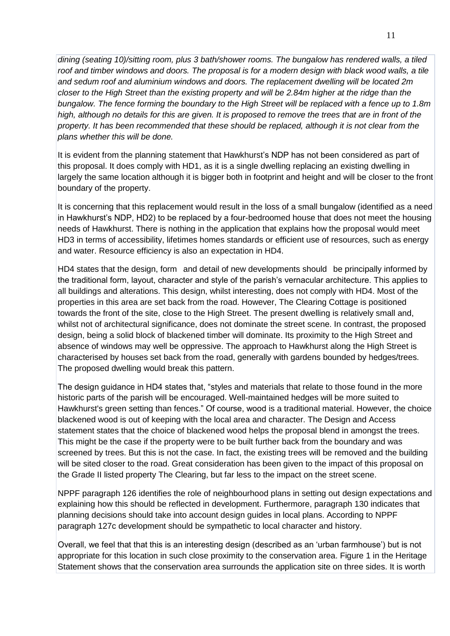*dining (seating 10)/sitting room, plus 3 bath/shower rooms. The bungalow has rendered walls, a tiled roof and timber windows and doors. The proposal is for a modern design with black wood walls, a tile and sedum roof and aluminium windows and doors. The replacement dwelling will be located 2m closer to the High Street than the existing property and will be 2.84m higher at the ridge than the bungalow. The fence forming the boundary to the High Street will be replaced with a fence up to 1.8m high, although no details for this are given. It is proposed to remove the trees that are in front of the property. It has been recommended that these should be replaced, although it is not clear from the plans whether this will be done.*

It is evident from the planning statement that Hawkhurst's NDP has not been considered as part of this proposal. It does comply with HD1, as it is a single dwelling replacing an existing dwelling in largely the same location although it is bigger both in footprint and height and will be closer to the front boundary of the property.

It is concerning that this replacement would result in the loss of a small bungalow (identified as a need in Hawkhurst's NDP, HD2) to be replaced by a four-bedroomed house that does not meet the housing needs of Hawkhurst. There is nothing in the application that explains how the proposal would meet HD3 in terms of accessibility, lifetimes homes standards or efficient use of resources, such as energy and water. Resource efficiency is also an expectation in HD4.

HD4 states that the design, form and detail of new developments should be principally informed by the traditional form, layout, character and style of the parish's vernacular architecture. This applies to all buildings and alterations. This design, whilst interesting, does not comply with HD4. Most of the properties in this area are set back from the road. However, The Clearing Cottage is positioned towards the front of the site, close to the High Street. The present dwelling is relatively small and, whilst not of architectural significance, does not dominate the street scene. In contrast, the proposed design, being a solid block of blackened timber will dominate. Its proximity to the High Street and absence of windows may well be oppressive. The approach to Hawkhurst along the High Street is characterised by houses set back from the road, generally with gardens bounded by hedges/trees. The proposed dwelling would break this pattern.

The design guidance in HD4 states that, "styles and materials that relate to those found in the more historic parts of the parish will be encouraged. Well-maintained hedges will be more suited to Hawkhurst's green setting than fences." Of course, wood is a traditional material. However, the choice blackened wood is out of keeping with the local area and character. The Design and Access statement states that the choice of blackened wood helps the proposal blend in amongst the trees. This might be the case if the property were to be built further back from the boundary and was screened by trees. But this is not the case. In fact, the existing trees will be removed and the building will be sited closer to the road. Great consideration has been given to the impact of this proposal on the Grade II listed property The Clearing, but far less to the impact on the street scene.

NPPF paragraph 126 identifies the role of neighbourhood plans in setting out design expectations and explaining how this should be reflected in development. Furthermore, paragraph 130 indicates that planning decisions should take into account design guides in local plans. According to NPPF paragraph 127c development should be sympathetic to local character and history.

Overall, we feel that that this is an interesting design (described as an 'urban farmhouse') but is not appropriate for this location in such close proximity to the conservation area. Figure 1 in the Heritage Statement shows that the conservation area surrounds the application site on three sides. It is worth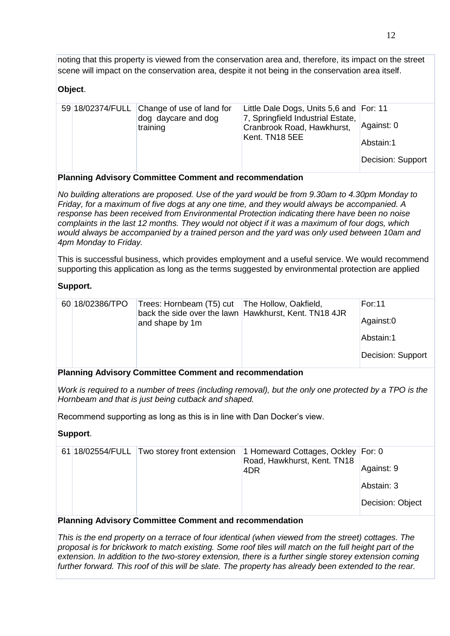noting that this property is viewed from the conservation area and, therefore, its impact on the street scene will impact on the conservation area, despite it not being in the conservation area itself.

## **Object**.

|  |  | 59 18/02374/FULL Change of use of land for<br>dog daycare and dog<br>training | Little Dale Dogs, Units 5,6 and For: 11<br>7, Springfield Industrial Estate,<br>Cranbrook Road, Hawkhurst,<br>Kent. TN18 5EE | Against: 0<br>Abstain:1<br>Decision: Support |
|--|--|-------------------------------------------------------------------------------|------------------------------------------------------------------------------------------------------------------------------|----------------------------------------------|
|--|--|-------------------------------------------------------------------------------|------------------------------------------------------------------------------------------------------------------------------|----------------------------------------------|

#### **Planning Advisory Committee Comment and recommendation**

*No building alterations are proposed. Use of the yard would be from 9.30am to 4.30pm Monday to Friday, for a maximum of five dogs at any one time, and they would always be accompanied. A response has been received from Environmental Protection indicating there have been no noise complaints in the last 12 months. They would not object if it was a maximum of four dogs, which would always be accompanied by a trained person and the yard was only used between 10am and 4pm Monday to Friday.*

This is successful business, which provides employment and a useful service. We would recommend supporting this application as long as the terms suggested by environmental protection are applied

#### **Support.**

| 60 18/02386/TPO | Trees: Hornbeam (T5) cut   The Hollow, Oakfield, |                                                       | For: 11           |
|-----------------|--------------------------------------------------|-------------------------------------------------------|-------------------|
|                 | and shape by 1m                                  | back the side over the lawn Hawkhurst, Kent. TN18 4JR | Against:0         |
|                 |                                                  |                                                       | Abstain:1         |
|                 |                                                  |                                                       | Decision: Support |
|                 |                                                  |                                                       |                   |

#### **Planning Advisory Committee Comment and recommendation**

*Work is required to a number of trees (including removal), but the only one protected by a TPO is the Hornbeam and that is just being cutback and shaped.*

Recommend supporting as long as this is in line with Dan Docker's view.

#### **Support**.

|  | 61 18/02554/FULL Two storey front extension | 1 Homeward Cottages, Ockley For: 0<br>Road, Hawkhurst, Kent. TN18 |                  |
|--|---------------------------------------------|-------------------------------------------------------------------|------------------|
|  |                                             | 4DR                                                               | Against: 9       |
|  |                                             |                                                                   | Abstain: 3       |
|  |                                             |                                                                   | Decision: Object |

#### **Planning Advisory Committee Comment and recommendation**

*This is the end property on a terrace of four identical (when viewed from the street) cottages. The proposal is for brickwork to match existing. Some roof tiles will match on the full height part of the extension. In addition to the two-storey extension, there is a further single storey extension coming further forward. This roof of this will be slate. The property has already been extended to the rear.*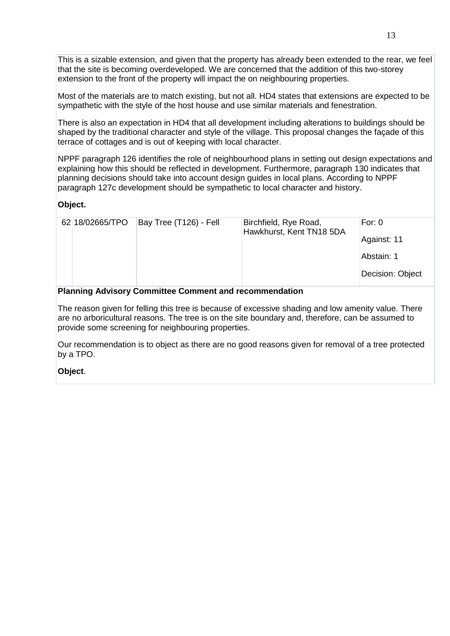This is a sizable extension, and given that the property has already been extended to the rear, we feel that the site is becoming overdeveloped. We are concerned that the addition of this two-storey extension to the front of the property will impact the on neighbouring properties.

Most of the materials are to match existing, but not all. HD4 states that extensions are expected to be sympathetic with the style of the host house and use similar materials and fenestration.

There is also an expectation in HD4 that all development including alterations to buildings should be shaped by the traditional character and style of the village. This proposal changes the façade of this terrace of cottages and is out of keeping with local character.

NPPF paragraph 126 identifies the role of neighbourhood plans in setting out design expectations and explaining how this should be reflected in development. Furthermore, paragraph 130 indicates that planning decisions should take into account design guides in local plans. According to NPPF paragraph 127c development should be sympathetic to local character and history.

#### **Object.**

| 62 18/02665/TPO | Bay Tree (T126) - Fell | Birchfield, Rye Road,<br>Hawkhurst, Kent TN18 5DA | For: $0$         |
|-----------------|------------------------|---------------------------------------------------|------------------|
|                 |                        |                                                   | Against: 11      |
|                 |                        |                                                   | Abstain: 1       |
|                 |                        |                                                   | Decision: Object |

#### **Planning Advisory Committee Comment and recommendation**

The reason given for felling this tree is because of excessive shading and low amenity value. There are no arboricultural reasons. The tree is on the site boundary and, therefore, can be assumed to provide some screening for neighbouring properties.

Our recommendation is to object as there are no good reasons given for removal of a tree protected by a TPO.

#### **Object**.